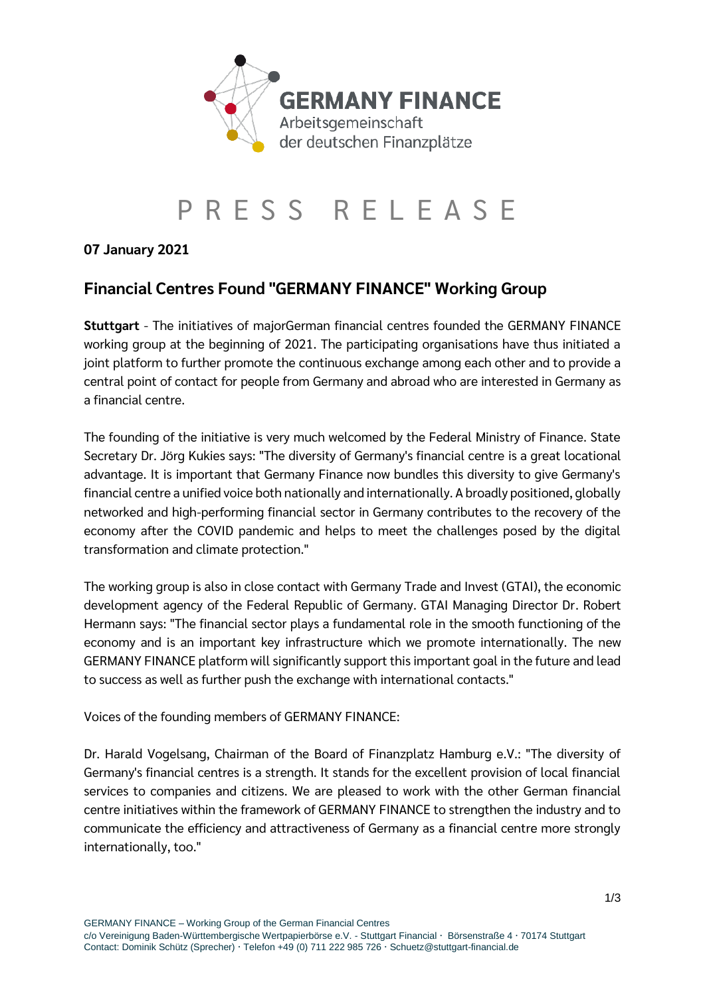

# P R E S S R E L E A S E

## **07 January 2021**

## **Financial Centres Found "GERMANY FINANCE" Working Group**

**Stuttgart** - The initiatives of majorGerman financial centres founded the GERMANY FINANCE working group at the beginning of 2021. The participating organisations have thus initiated a joint platform to further promote the continuous exchange among each other and to provide a central point of contact for people from Germany and abroad who are interested in Germany as a financial centre.

The founding of the initiative is very much welcomed by the Federal Ministry of Finance. State Secretary Dr. Jörg Kukies says: "The diversity of Germany's financial centre is a great locational advantage. It is important that Germany Finance now bundles this diversity to give Germany's financial centre a unified voice both nationally and internationally. A broadly positioned, globally networked and high-performing financial sector in Germany contributes to the recovery of the economy after the COVID pandemic and helps to meet the challenges posed by the digital transformation and climate protection."

The working group is also in close contact with Germany Trade and Invest (GTAI), the economic development agency of the Federal Republic of Germany. GTAI Managing Director Dr. Robert Hermann says: "The financial sector plays a fundamental role in the smooth functioning of the economy and is an important key infrastructure which we promote internationally. The new GERMANY FINANCE platform will significantly support this important goal in the future and lead to success as well as further push the exchange with international contacts."

Voices of the founding members of GERMANY FINANCE:

Dr. Harald Vogelsang, Chairman of the Board of Finanzplatz Hamburg e.V.: "The diversity of Germany's financial centres is a strength. It stands for the excellent provision of local financial services to companies and citizens. We are pleased to work with the other German financial centre initiatives within the framework of GERMANY FINANCE to strengthen the industry and to communicate the efficiency and attractiveness of Germany as a financial centre more strongly internationally, too."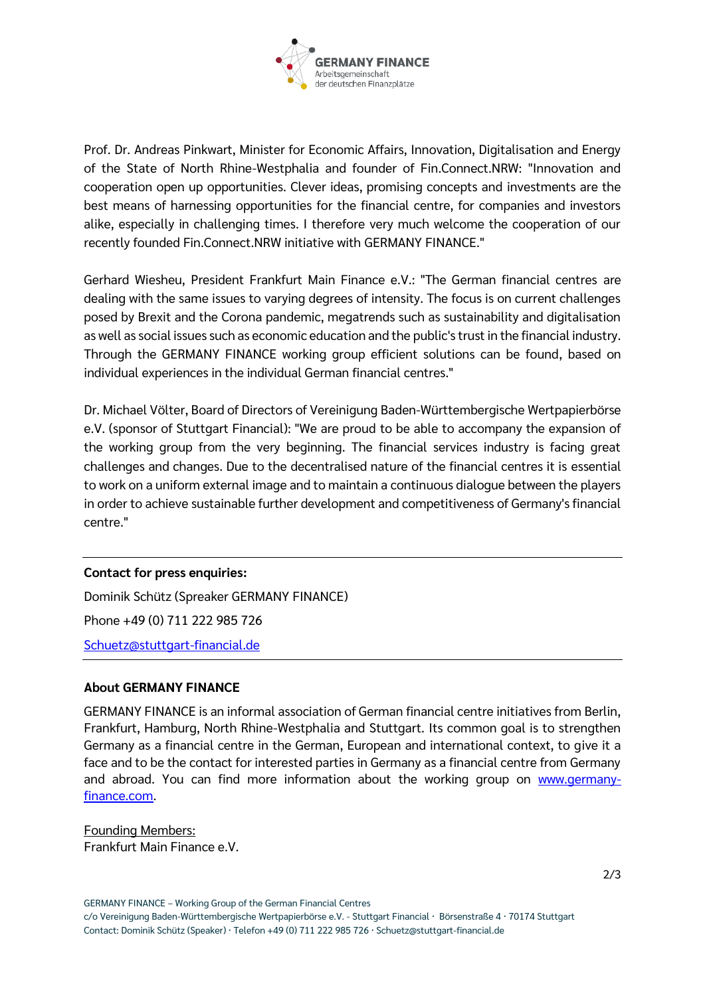

Prof. Dr. Andreas Pinkwart, Minister for Economic Affairs, Innovation, Digitalisation and Energy of the State of North Rhine-Westphalia and founder of Fin.Connect.NRW: "Innovation and cooperation open up opportunities. Clever ideas, promising concepts and investments are the best means of harnessing opportunities for the financial centre, for companies and investors alike, especially in challenging times. I therefore very much welcome the cooperation of our recently founded Fin.Connect.NRW initiative with GERMANY FINANCE."

Gerhard Wiesheu, President Frankfurt Main Finance e.V.: "The German financial centres are dealing with the same issues to varying degrees of intensity. The focus is on current challenges posed by Brexit and the Corona pandemic, megatrends such as sustainability and digitalisation as well as social issues such as economic education and the public's trust in the financial industry. Through the GERMANY FINANCE working group efficient solutions can be found, based on individual experiences in the individual German financial centres."

Dr. Michael Völter, Board of Directors of Vereinigung Baden-Württembergische Wertpapierbörse e.V. (sponsor of Stuttgart Financial): "We are proud to be able to accompany the expansion of the working group from the very beginning. The financial services industry is facing great challenges and changes. Due to the decentralised nature of the financial centres it is essential to work on a uniform external image and to maintain a continuous dialogue between the players in order to achieve sustainable further development and competitiveness of Germany's financial centre."

### **Contact for press enquiries:**

Dominik Schütz (Spreaker GERMANY FINANCE) Phone +49 (0) 711 222 985 726 [Schuetz@stuttgart-financial.de](mailto:Schuetz@stuttgart-financial.de) 

### **About GERMANY FINANCE**

GERMANY FINANCE is an informal association of German financial centre initiatives from Berlin, Frankfurt, Hamburg, North Rhine-Westphalia and Stuttgart. Its common goal is to strengthen Germany as a financial centre in the German, European and international context, to give it a face and to be the contact for interested parties in Germany as a financial centre from Germany and abroad. You can find more information about the working group on [www.germany](https://germany-finance.com/)[finance.com.](https://germany-finance.com/)

Founding Members: Frankfurt Main Finance e.V.